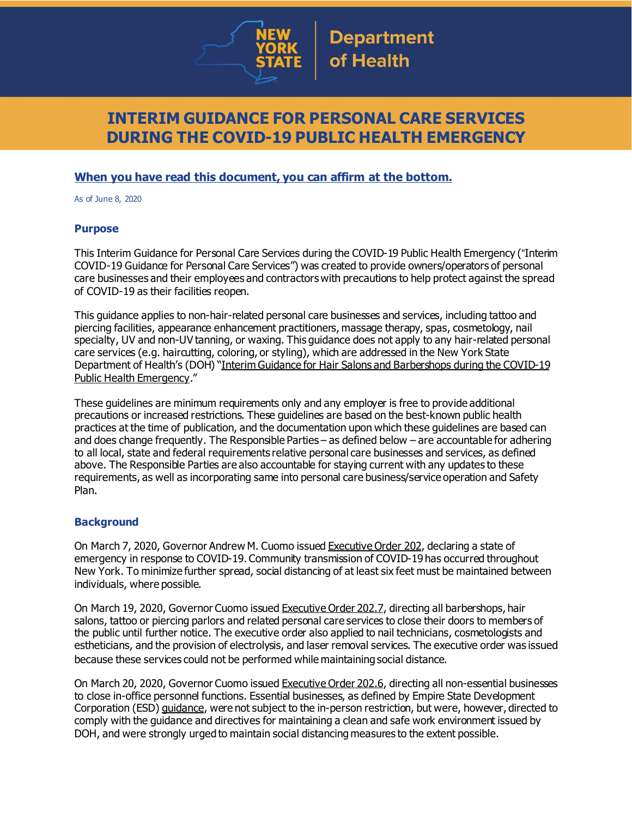

# **INTERIM GUIDANCE FOR PERSONAL CARE SERVICES DURING THE COVID-19 PUBLIC HEALTH EMERGENCY**

### **When you have read this document, you can affirm at the bottom.**

As of June 8, 2020

### **Purpose**

This Interim Guidance for Personal Care Services during the COVID-19 Public Health Emergency ("Interim COVID-19 Guidance for Personal Care Services") was created to provide owners/operators of personal care businesses and their employees and contractors with precautions to help protect against the spread of COVID-19 as their facilities reopen.

This guidance applies to non-hair-related personal care businesses and services, including tattoo and piercing facilities, appearance enhancement practitioners, massage therapy, spas, cosmetology, nail specialty, UV and non-UV tanning, or waxing. This guidance does not apply to any hair-related personal care services (e.g. haircutting, coloring, or styling), which are addressed in the New York State Department of Health's (DOH) "Interim Guidance for Hair Salons and [Barbershops](https://www.governor.ny.gov/sites/governor.ny.gov/files/atoms/files/HairSalonsAndBarbershopMasterGuidance.pdf) during the COVID-19 Public Health [Emergency](https://www.governor.ny.gov/sites/governor.ny.gov/files/atoms/files/HairSalonsAndBarbershopMasterGuidance.pdf)."

These guidelines are minimum requirements only and any employer is free to provide additional precautions or increased restrictions. These guidelines are based on the best-known public health practices at the time of publication, and the documentation upon which these guidelines are based can and does change frequently. The Responsible Parties – as defined below – are accountable for adhering to all local, state and federal requirements relative personal care businesses and services, as defined above. The Responsible Parties are also accountable for staying current with any updates to these requirements, as well as incorporating same into personal care business/service operation and Safety Plan.

### **Background**

On March 7, 2020, Governor Andrew M. Cuomo issued [Executive](https://www.governor.ny.gov/news/no-202-declaring-disaster-emergency-state-new-york) Order 202, declaring a state of emergency in response to COVID-19. Community transmission of COVID-19 has occurred throughout New York. To minimize further spread, social distancing of at least six feet must be maintained between individuals, where possible.

On March 19, 2020, Governor Cuomo issued [Executive](https://www.governor.ny.gov/news/no-2027-continuing-temporary-suspension-and-modification-laws-relating-disaster-emergency) Order 202.7, directing all barbershops, hair salons, tattoo or piercing parlors and related personal care services to close their doors to members of the public until further notice. The executive order also applied to nail technicians, cosmetologists and estheticians, and the provision of electrolysis, and laser removal services. The executive order was issued because these services could not be performed while maintaining social distance.

On March 20, 2020, Governor Cuomo issued [Executive](https://www.governor.ny.gov/news/no-2026-continuing-temporary-suspension-and-modification-laws-relating-disaster-emergency) Order 202.6, directing all non-essential businesses to close in-office personnel functions. Essential businesses, as defined by Empire State Development Corporation (ESD) [guidance](https://esd.ny.gov/guidance-executive-order-2026), were not subject to the in-person restriction, but were, however, directed to comply with the guidance and directives for maintaining a clean and safe work environment issued by DOH, and were strongly urged to maintain social distancing measures to the extent possible.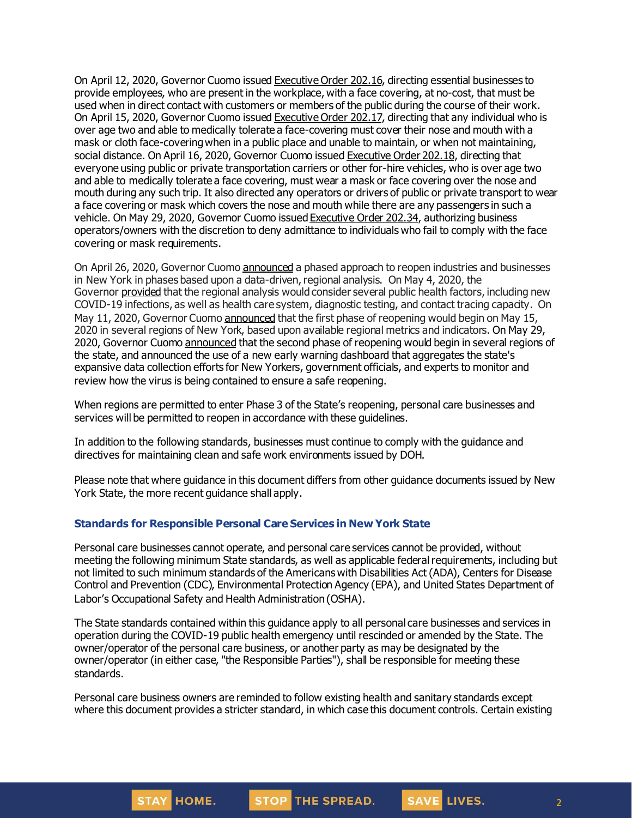On April 12, 2020, Governor Cuomo issued [Executive](https://www.governor.ny.gov/news/no-20216-continuing-temporary-suspension-and-modification-laws-relating-disaster-emergency) Order 202.16, directing essential businesses to provide employees, who are present in the workplace, with a face covering, at no-cost, that must be used when in direct contact with customers or members of the public during the course of their work. On April 15, 2020, Governor Cuomo issued [Executive](https://www.governor.ny.gov/news/no-20217-continuing-temporary-suspension-and-modification-laws-relating-disaster-emergency) Order 202.17, directing that any individual who is over age two and able to medically tolerate a face-covering must cover their nose and mouth with a mask or cloth face-coveringwhen in a public place and unable to maintain, or when not maintaining, social distance. On April 16, 2020, Governor Cuomo issued [Executive](https://www.governor.ny.gov/news/no-20218-continuing-temporary-suspension-and-modification-laws-relating-disaster-emergency) Order 202.18, directing that everyone using public or private transportation carriers or other for-hire vehicles, who is over age two and able to medically tolerate a face covering, must wear a mask or face covering over the nose and mouth during any such trip. It also directed any operators or drivers of public or private transport to wear a face covering or mask which covers the nose and mouth while there are any passengers in such a vehicle. On May 29, 2020, Governor Cuomo issued [Executive](https://www.governor.ny.gov/news/no-20234-continuing-temporary-suspension-and-modification-laws-relating-disaster-emergency) Order 202.34, authorizing business operators/owners with the discretion to deny admittance to individuals who fail to comply with the face covering or mask requirements.

On April 26, 2020, Governor Cuomo [announced](https://www.governor.ny.gov/news/amid-ongoing-covid-19-pandemic-governor-cuomo-outlines-phased-plan-re-open-new-york-starting) a phased approach to reopen industries and businesses in New York in phases based upon a data-driven, regional analysis. On May 4, 2020, the Governor [provided](https://www.governor.ny.gov/news/amid-ongoing-covid-19-pandemic-governor-cuomo-outlines-additional-guidelines-when-regions-can) that the regional analysis would consider several public health factors, including new COVID-19 infections, as well as health care system, diagnostic testing, and contact tracing capacity. On May 11, 2020, Governor Cuomo [announced](https://www.governor.ny.gov/news/amid-ongoing-covid-19-pandemic-governor-cuomo-announces-three-regions-new-york-state-ready) that the first phase of reopening would begin on May 15, 2020 in several regions of New York, based upon available regional metrics and indicators. On May 29, 2020, Governor Cuomo [announced](https://www.governor.ny.gov/news/governor-cuomo-announces-new-york-city-enter-phase-1-reopening-june-8-and-five-regions-enter) that the second phase of reopening would begin in several regions of the state, and announced the use of a new early warning dashboard that aggregates the state's expansive data collection efforts for New Yorkers, government officials, and experts to monitor and review how the virus is being contained to ensure a safe reopening.

When regions are permitted to enter Phase 3 of the State's reopening, personal care businesses and services will be permitted to reopen in accordance with these guidelines.

In addition to the following standards, businesses must continue to comply with the guidance and directives for maintaining clean and safe work environments issued by DOH.

Please note that where guidance in this document differs from other guidance documents issued by New York State, the more recent guidance shall apply.

#### **Standards for Responsible Personal Care Services in New York State**

Personal care businesses cannot operate, and personal care services cannot be provided, without meeting the following minimum State standards, as well as applicable federal requirements, including but not limited to such minimum standards of the Americans with Disabilities Act (ADA), Centers for Disease Control and Prevention (CDC), Environmental Protection Agency (EPA), and United States Department of Labor's Occupational Safety and Health Administration (OSHA).

The State standards contained within this guidance apply to all personal care businesses and services in operation during the COVID-19 public health emergency until rescinded or amended by the State. The owner/operator of the personal care business, or another party as may be designated by the owner/operator (in either case, "the Responsible Parties"), shall be responsible for meeting these standards.

Personal care business owners are reminded to follow existing health and sanitary standards except where this document provides a stricter standard, in which case this document controls. Certain existing



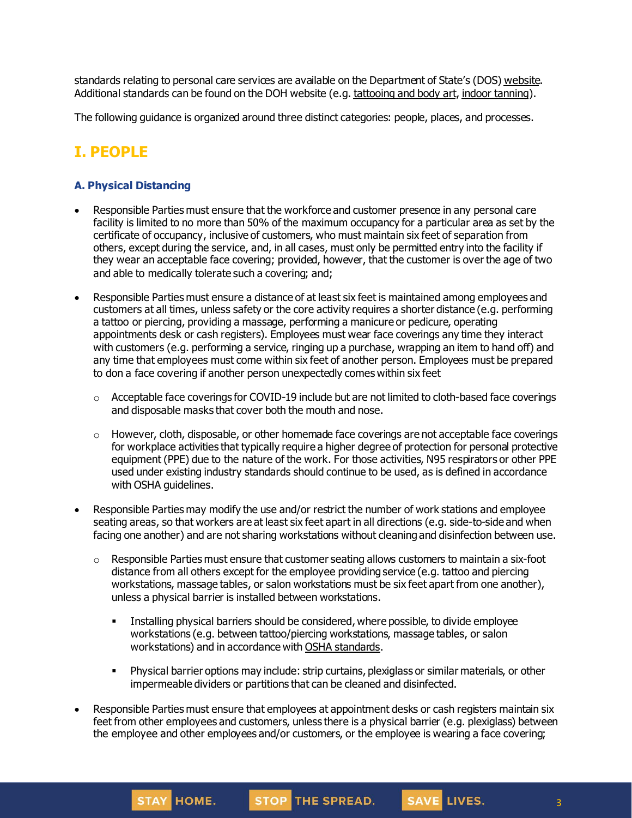standards relating to personal care services are available on the Department of State's (DOS) [website](https://www.dos.ny.gov/licensing/). Additional standards can be found on the DOH website (e.g. [tattooing](https://health.ny.gov/community/body_art/) and body art, indoor [tanning\)](https://health.ny.gov/environmental/indoors/tanning/).

The following guidance is organized around three distinct categories: people, places, and processes.

# **I. PEOPLE**

### **A. Physical Distancing**

- Responsible Parties must ensure that the workforce and customer presence in any personal care facility is limited to no more than 50% of the maximum occupancy for a particular area as set by the certificate of occupancy, inclusive of customers, who must maintain six feet of separation from others, except during the service, and, in all cases, must only be permitted entry into the facility if they wear an acceptable face covering; provided, however, that the customer is over the age of two and able to medically tolerate such a covering; and;
- Responsible Parties must ensure a distance of at least six feet is maintained among employees and customers at all times, unless safety or the core activity requires a shorter distance (e.g. performing a tattoo or piercing, providing a massage, performing a manicure or pedicure, operating appointments desk or cash registers). Employees must wear face coverings any time they interact with customers (e.g. performing a service, ringing up a purchase, wrapping an item to hand off) and any time that employees must come within six feet of another person. Employees must be prepared to don a face covering if another person unexpectedly comes within six feet
	- $\circ$  Acceptable face coverings for COVID-19 include but are not limited to cloth-based face coverings and disposable masks that cover both the mouth and nose.
	- $\circ$  However, cloth, disposable, or other homemade face coverings are not acceptable face coverings for workplace activities that typically require a higher degree of protection for personal protective equipment (PPE) due to the nature of the work. For those activities, N95 respirators or other PPE used under existing industry standards should continue to be used, as is defined in accordance with OSHA guidelines.
- Responsible Parties may modify the use and/or restrict the number of work stations and employee seating areas, so that workers are at least six feet apart in all directions (e.g. side-to-side and when facing one another) and are not sharing workstations without cleaning and disinfection between use.
	- $\circ$  Responsible Parties must ensure that customer seating allows customers to maintain a six-foot distance from all others except for the employee providing service (e.g. tattoo and piercing workstations, massage tables, or salon workstations must be six feet apart from one another), unless a physical barrier is installed between workstations.
		- **Installing physical barriers should be considered, where possible, to divide employee** workstations (e.g. between tattoo/piercing workstations, massage tables, or salon workstations) and in accordance with OSHA [standards](https://www.osha.gov/Publications/OSHA3990.pdf).
		- **Physical barrier options may include: strip curtains, plexiglass or similar materials, or other** impermeable dividers or partitions that can be cleaned and disinfected.
- Responsible Parties must ensure that employees at appointment desks or cash registers maintain six feet from other employees and customers, unless there is a physical barrier (e.g. plexiglass) between the employee and other employees and/or customers, or the employee is wearing a face covering;

STOP THE SPREAD.

STAY HOME.

SAVE LIVES.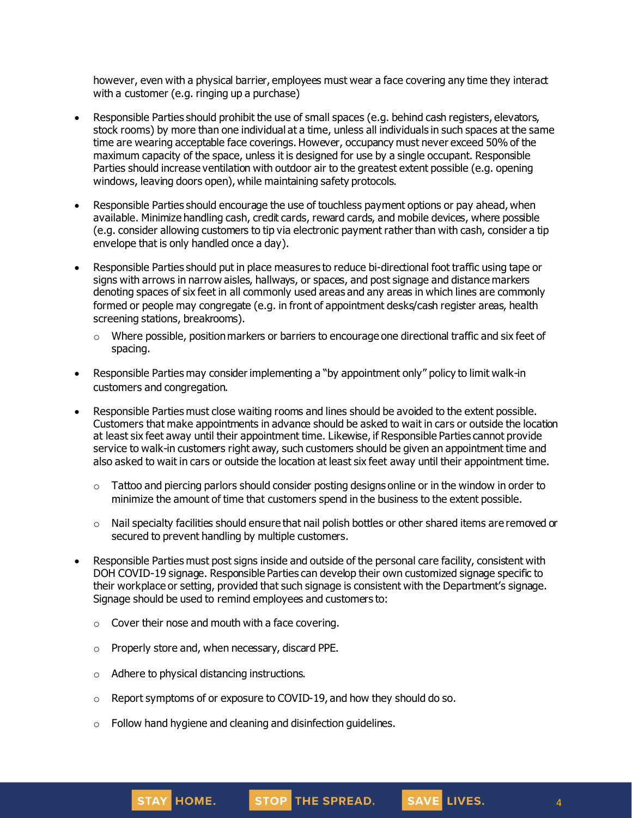however, even with a physical barrier, employees must wear a face covering any time they interact with a customer (e.g. ringing up a purchase)

- Responsible Parties should prohibit the use of small spaces (e.g. behind cash registers, elevators, stock rooms) by more than one individual at a time, unless all individuals in such spaces at the same time are wearing acceptable face coverings. However, occupancy must never exceed 50% of the maximum capacity of the space, unless it is designed for use by a single occupant. Responsible Parties should increase ventilation with outdoor air to the greatest extent possible (e.g. opening windows, leaving doors open), while maintaining safety protocols.
- Responsible Parties should encourage the use of touchless payment options or pay ahead, when available. Minimize handling cash, credit cards, reward cards, and mobile devices, where possible (e.g. consider allowing customers to tip via electronic payment rather than with cash, consider a tip envelope that is only handled once a day).
- Responsible Parties should put in place measures to reduce bi-directional foot traffic using tape or signs with arrows in narrow aisles, hallways, or spaces, and post signage and distance markers denoting spaces of six feet in all commonly used areas and any areas in which lines are commonly formed or people may congregate (e.g. in front of appointment desks/cash register areas, health screening stations, breakrooms).
	- $\circ$  Where possible, position markers or barriers to encourage one directional traffic and six feet of spacing.
- Responsible Parties may consider implementing a "by appointment only" policy to limit walk-in customers and congregation.
- Responsible Parties must close waiting rooms and lines should be avoided to the extent possible. Customers that make appointments in advance should be asked to wait in cars or outside the location at least six feet away until their appointment time. Likewise, if Responsible Parties cannot provide service to walk-in customers right away, such customers should be given an appointment time and also asked to wait in cars or outside the location at least six feet away until their appointment time.
	- $\circ$  Tattoo and piercing parlors should consider posting designs online or in the window in order to minimize the amount of time that customers spend in the business to the extent possible.
	- $\circ$  Nail specialty facilities should ensure that nail polish bottles or other shared items are removed or secured to prevent handling by multiple customers.
- Responsible Parties must post signs inside and outside of the personal care facility, consistent with DOH COVID-19 signage. Responsible Parties can develop their own customized signage specific to their workplace or setting, provided that such signage is consistent with the Department's signage. Signage should be used to remind employees and customers to:
	- $\circ$  Cover their nose and mouth with a face covering.
	- o Properly store and, when necessary, discard PPE.
	- o Adhere to physical distancing instructions.
	- o Report symptoms of or exposure to COVID-19, and how they should do so.
	- o Follow hand hygiene and cleaning and disinfection guidelines.

4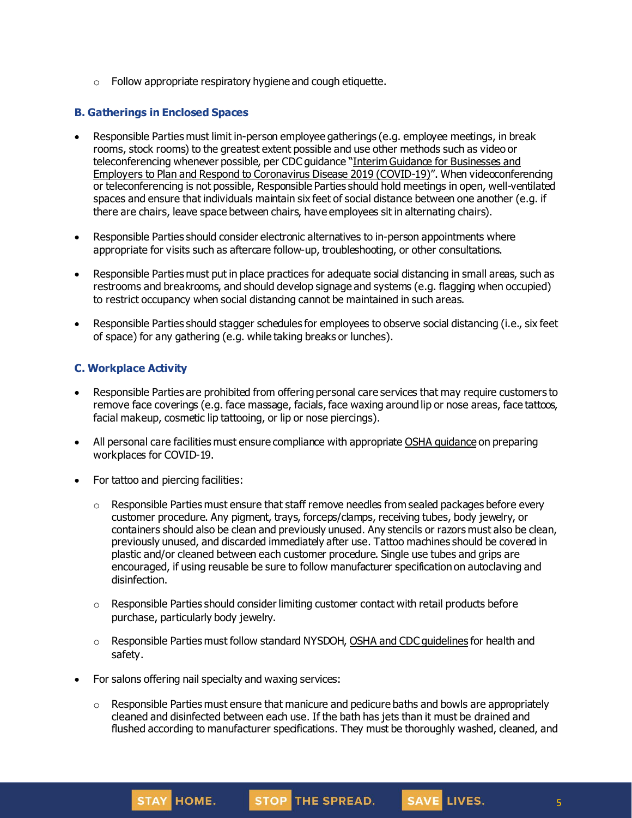$\circ$  Follow appropriate respiratory hygiene and cough etiquette.

### **B. Gatherings in Enclosed Spaces**

- Responsible Parties must limit in-person employee gatherings (e.g. employee meetings, in break rooms, stock rooms) to the greatest extent possible and use other methods such as video or teleconferencing whenever possible, per CDC guidance "Interim Guidance for [Businesses](https://www.cdc.gov/coronavirus/2019-ncov/community/guidance-business-response.html) and Employers to Plan and Respond to [Coronavirus](https://www.cdc.gov/coronavirus/2019-ncov/community/guidance-business-response.html) Disease 2019 (COVID-19)". When videoconferencing or teleconferencing is not possible, Responsible Parties should hold meetings in open, well-ventilated spaces and ensure that individuals maintain six feet of social distance between one another (e.g. if there are chairs, leave space between chairs, have employees sit in alternating chairs).
- Responsible Parties should consider electronic alternatives to in-person appointments where appropriate for visits such as aftercare follow-up, troubleshooting, or other consultations.
- Responsible Parties must put in place practices for adequate social distancing in small areas, such as restrooms and breakrooms, and should develop signage and systems (e.g. flagging when occupied) to restrict occupancy when social distancing cannot be maintained in such areas.
- Responsible Parties should stagger schedules for employees to observe social distancing (i.e., six feet of space) for any gathering (e.g. while taking breaks or lunches).

### **C. Workplace Activity**

- Responsible Parties are prohibited from offering personal care services that may require customers to remove face coverings (e.g. face massage, facials, face waxing around lip or nose areas, face tattoos, facial makeup, cosmetic lip tattooing, or lip or nose piercings).
- All personal care facilities must ensure compliance with appropriate OSHA quidance on preparing workplaces for COVID-19.
- For tattoo and piercing facilities:
	- $\circ$  Responsible Parties must ensure that staff remove needles from sealed packages before every customer procedure. Any pigment, trays, forceps/clamps, receiving tubes, body jewelry, or containers should also be clean and previously unused. Any stencils or razors must also be clean, previously unused, and discarded immediately after use. Tattoo machines should be covered in plastic and/or cleaned between each customer procedure. Single use tubes and grips are encouraged, if using reusable be sure to follow manufacturer specification on autoclaving and disinfection.
	- $\circ$  Responsible Parties should consider limiting customer contact with retail products before purchase, particularly body jewelry.
	- $\circ$  Responsible Parties must follow standard NYSDOH, OSHA and CDC quidelines for health and safety.
- For salons offering nail specialty and waxing services:
	- $\circ$  Responsible Parties must ensure that manicure and pedicure baths and bowls are appropriately cleaned and disinfected between each use. If the bath has jets than it must be drained and flushed according to manufacturer specifications. They must be thoroughly washed, cleaned, and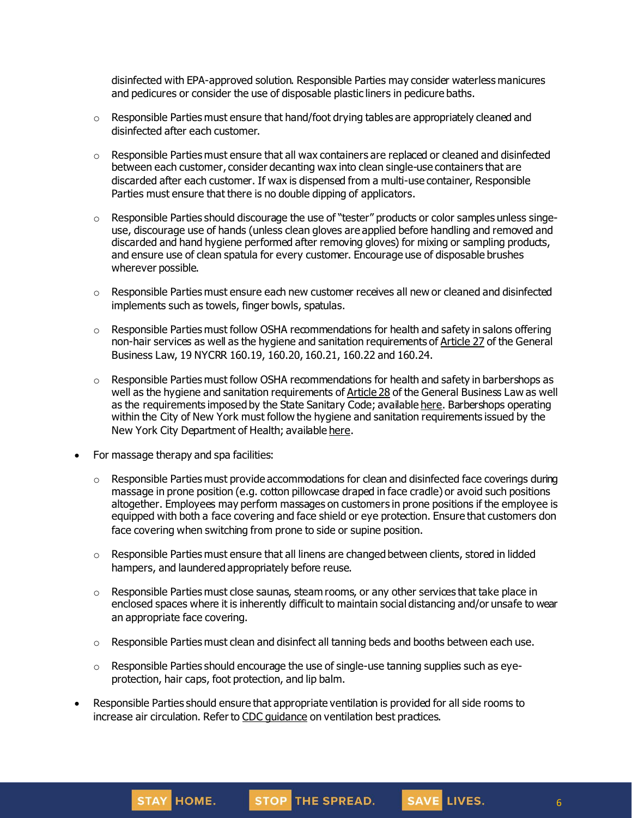disinfected with EPA-approved solution. Responsible Parties may consider waterless manicures and pedicures or consider the use of disposable plastic liners in pedicure baths.

- $\circ$  Responsible Parties must ensure that hand/foot drying tables are appropriately cleaned and disinfected after each customer.
- $\circ$  Responsible Parties must ensure that all wax containers are replaced or cleaned and disinfected between each customer, consider decanting wax into clean single-use containers that are discarded after each customer. If wax is dispensed from a multi-use container, Responsible Parties must ensure that there is no double dipping of applicators.
- $\circ$  Responsible Parties should discourage the use of "tester" products or color samples unless singeuse, discourage use of hands (unless clean gloves are applied before handling and removed and discarded and hand hygiene performed after removing gloves) for mixing or sampling products, and ensure use of clean spatula for every customer. Encourage use of disposable brushes wherever possible.
- $\circ$  Responsible Parties must ensure each new customer receives all new or cleaned and disinfected implements such as towels, finger bowls, spatulas.
- $\circ$  Responsible Parties must follow OSHA recommendations for health and safety in salons offering non-hair services as well as the hygiene and sanitation requirements of [Article](https://www.dos.ny.gov/licensing/lawbooks/APP-ENH.pdf) 27 of the General Business Law, 19 NYCRR 160.19, 160.20, 160.21, 160.22 and 160.24.
- $\circ$  Responsible Parties must follow OSHA recommendations for health and safety in barbershops as well as the hygiene and sanitation requirements of [Article](https://www.dos.ny.gov/licensing/lawbooks/barber.pdf) 28 of the General Business Law as well as the requirements imposed by the State Sanitary Code; available [here](https://www.dos.ny.gov/licensing/barber/pdf/SanitaryCodeSign01.pdf). Barbershops operating within the City of New York must follow the hygiene and sanitation requirements issued by the New York City Department of Health; available [here](https://www1.nyc.gov/assets/doh/downloads/pdf/about/healthcode/health-code-article163.pdf).
- For massage therapy and spa facilities:
	- $\circ$  Responsible Parties must provide accommodations for clean and disinfected face coverings during massage in prone position (e.g. cotton pillowcase draped in face cradle) or avoid such positions altogether. Employees may perform massages on customers in prone positions if the employee is equipped with both a face covering and face shield or eye protection. Ensure that customers don face covering when switching from prone to side or supine position.
	- $\circ$  Responsible Parties must ensure that all linens are changed between clients, stored in lidded hampers, and laundered appropriately before reuse.
	- $\circ$  Responsible Parties must close saunas, steam rooms, or any other services that take place in enclosed spaces where it is inherently difficult to maintain social distancing and/or unsafe to wear an appropriate face covering.
	- o Responsible Parties must clean and disinfect all tanning beds and booths between each use.
	- $\circ$  Responsible Parties should encourage the use of single-use tanning supplies such as eyeprotection, hair caps, foot protection, and lip balm.
- Responsible Parties should ensure that appropriate ventilation is provided for all side rooms to increase air circulation. Refer to CDC [guidance](https://www.cdc.gov/coronavirus/2019-ncov/community/guidance-business-response.html) on ventilation best practices.

SAVE LIVES.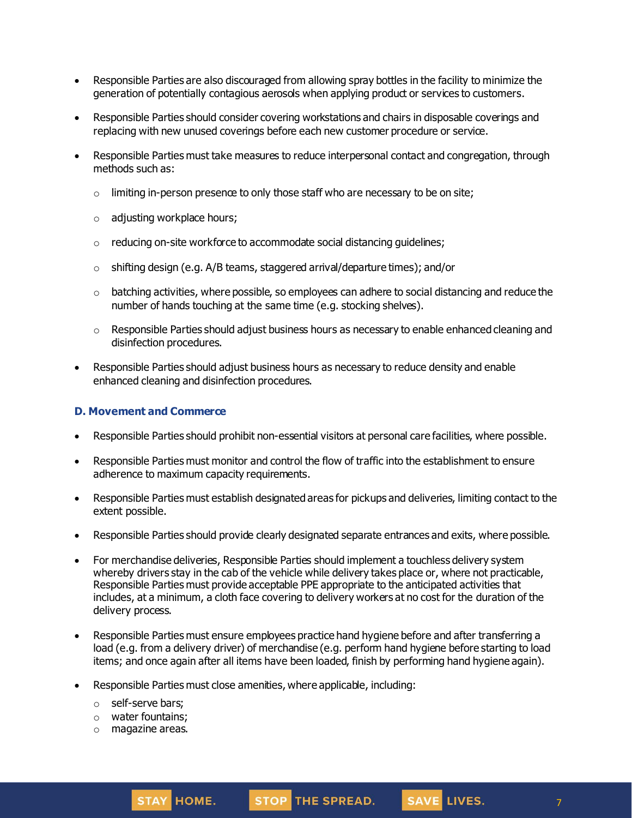- Responsible Parties are also discouraged from allowing spray bottles in the facility to minimize the generation of potentially contagious aerosols when applying product or services to customers.
- Responsible Parties should consider covering workstations and chairs in disposable coverings and replacing with new unused coverings before each new customer procedure or service.
- Responsible Parties must take measures to reduce interpersonal contact and congregation, through methods such as:
	- $\circ$  limiting in-person presence to only those staff who are necessary to be on site;
	- o adjusting workplace hours;
	- $\circ$  reducing on-site workforce to accommodate social distancing quidelines;
	- $\circ$  shifting design (e.g. A/B teams, staggered arrival/departure times); and/or
	- $\circ$  batching activities, where possible, so employees can adhere to social distancing and reduce the number of hands touching at the same time (e.g. stocking shelves).
	- $\circ$  Responsible Parties should adjust business hours as necessary to enable enhanced cleaning and disinfection procedures.
- Responsible Parties should adjust business hours as necessary to reduce density and enable enhanced cleaning and disinfection procedures.

### **D. Movement and Commerce**

- Responsible Parties should prohibit non-essential visitors at personal care facilities, where possible.
- Responsible Parties must monitor and control the flow of traffic into the establishment to ensure adherence to maximum capacity requirements.
- Responsible Parties must establish designated areas for pickups and deliveries, limiting contact to the extent possible.
- Responsible Parties should provide clearly designated separate entrances and exits, where possible.
- For merchandise deliveries, Responsible Parties should implement a touchless delivery system whereby drivers stay in the cab of the vehicle while delivery takes place or, where not practicable, Responsible Parties must provide acceptable PPE appropriate to the anticipated activities that includes, at a minimum, a cloth face covering to delivery workers at no cost for the duration of the delivery process.
- Responsible Parties must ensure employees practice hand hygiene before and after transferring a load (e.g. from a delivery driver) of merchandise (e.g. perform hand hygiene before starting to load items; and once again after all items have been loaded, finish by performing hand hygiene again).
- Responsible Parties must close amenities, where applicable, including:
	- o self-serve bars;
	- o water fountains;
	- o magazine areas.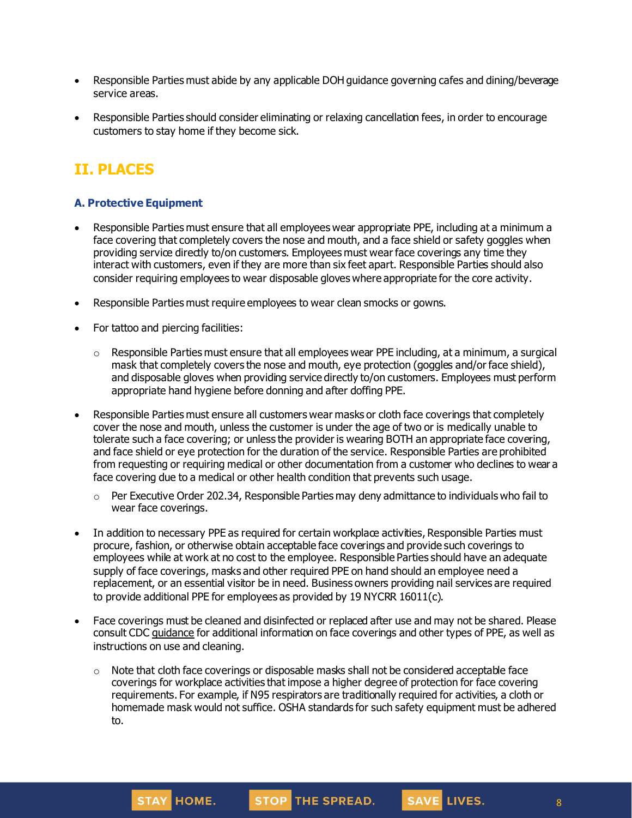- Responsible Parties must abide by any applicable DOH guidance governing cafes and dining/beverage service areas.
- Responsible Parties should consider eliminating or relaxing cancellation fees, in order to encourage customers to stay home if they become sick.

# **II. PLACES**

### **A. Protective Equipment**

- Responsible Parties must ensure that all employees wear appropriate PPE, including at a minimum a face covering that completely covers the nose and mouth, and a face shield or safety goggles when providing service directly to/on customers. Employees must wear face coverings any time they interact with customers, even if they are more than six feet apart. Responsible Parties should also consider requiring employees to wear disposable gloves where appropriate for the core activity.
- Responsible Parties must require employees to wear clean smocks or gowns.
- For tattoo and piercing facilities:
	- o Responsible Parties must ensure that all employees wear PPE including, at a minimum, a surgical mask that completely covers the nose and mouth, eye protection (goggles and/or face shield), and disposable gloves when providing service directly to/on customers. Employees must perform appropriate hand hygiene before donning and after doffing PPE.
- Responsible Parties must ensure all customers wear masks or cloth face coverings that completely cover the nose and mouth, unless the customer is under the age of two or is medically unable to tolerate such a face covering; or unless the provider is wearing BOTH an appropriate face covering, and face shield or eye protection for the duration of the service. Responsible Parties are prohibited from requesting or requiring medical or other documentation from a customer who declines to wear a face covering due to a medical or other health condition that prevents such usage.
	- o Per Executive Order 202.34, Responsible Parties may deny admittance to individuals who fail to wear face coverings.
- In addition to necessary PPE as required for certain workplace activities, Responsible Parties must procure, fashion, or otherwise obtain acceptable face coverings and provide such coverings to employees while at work at no cost to the employee. Responsible Parties should have an adequate supply of face coverings, masks and other required PPE on hand should an employee need a replacement, or an essential visitor be in need. Business owners providing nail services are required to provide additional PPE for employees as provided by 19 NYCRR 16011(c).
- Face coverings must be cleaned and disinfected or replaced after use and may not be shared. Please consult CDC [guidance](https://www.cdc.gov/coronavirus/2019-ncov/community/guidance-business-response.html) for additional information on face coverings and other types of PPE, as well as instructions on use and cleaning.
	- $\circ$  Note that cloth face coverings or disposable masks shall not be considered acceptable face coverings for workplace activities that impose a higher degree of protection for face covering requirements. For example, if N95 respirators are traditionally required for activities, a cloth or homemade mask would not suffice. OSHA standards for such safety equipment must be adhered to.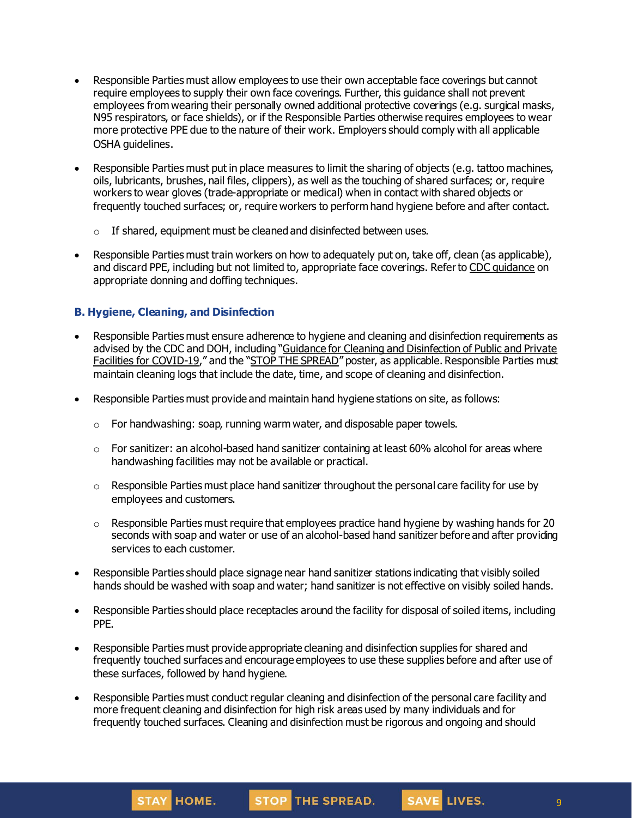- Responsible Parties must allow employees to use their own acceptable face coverings but cannot require employees to supply their own face coverings. Further, this guidance shall not prevent employees from wearing their personally owned additional protective coverings (e.g. surgical masks, N95 respirators, or face shields), or if the Responsible Parties otherwise requires employees to wear more protective PPE due to the nature of their work. Employers should comply with all applicable OSHA guidelines.
- Responsible Parties must put in place measures to limit the sharing of objects (e.g. tattoo machines, oils, lubricants, brushes, nail files, clippers), as well as the touching of shared surfaces; or, require workers to wear gloves (trade-appropriate or medical) when in contact with shared objects or frequently touched surfaces; or, require workers to perform hand hygiene before and after contact.
	- $\circ$  If shared, equipment must be cleaned and disinfected between uses.
- Responsible Parties must train workers on how to adequately put on, take off, clean (as applicable), and discard PPE, including but not limited to, appropriate face coverings. Refer to CDC [guidance](https://www.cdc.gov/hai/pdfs/ppe/PPE-Sequence.pdf) on appropriate donning and doffing techniques.

### **B. Hygiene, Cleaning, and Disinfection**

- Responsible Parties must ensure adherence to hygiene and cleaning and disinfection requirements as advised by the CDC and DOH, including "Guidance for Cleaning and [Disinfection](https://coronavirus.health.ny.gov/system/files/documents/2020/03/cleaning_guidance_general_building.pdf) of Public and Private Facilities for [COVID-19](https://coronavirus.health.ny.gov/system/files/documents/2020/03/cleaning_guidance_general_building.pdf)," and the "STOP THE [SPREAD](https://coronavirus.health.ny.gov/system/files/documents/2020/04/13067_coronavirus_protectyourself_poster_042020.pdf)" poster, as applicable. Responsible Parties must maintain cleaning logs that include the date, time, and scope of cleaning and disinfection.
- Responsible Parties must provide and maintain hand hygiene stations on site, as follows:
	- o For handwashing: soap, running warm water, and disposable paper towels.
	- $\circ$  For sanitizer: an alcohol-based hand sanitizer containing at least 60% alcohol for areas where handwashing facilities may not be available or practical.
	- $\circ$  Responsible Parties must place hand sanitizer throughout the personal care facility for use by employees and customers.
	- $\circ$  Responsible Parties must require that employees practice hand hygiene by washing hands for 20 seconds with soap and water or use of an alcohol-based hand sanitizer before and after providing services to each customer.
- Responsible Parties should place signage near hand sanitizer stations indicating that visibly soiled hands should be washed with soap and water; hand sanitizer is not effective on visibly soiled hands.
- Responsible Parties should place receptacles around the facility for disposal of soiled items, including PPE.
- Responsible Parties must provide appropriate cleaning and disinfection supplies for shared and frequently touched surfaces and encourage employees to use these supplies before and after use of these surfaces, followed by hand hygiene.
- Responsible Parties must conduct regular cleaning and disinfection of the personal care facility and more frequent cleaning and disinfection for high risk areas used by many individuals and for frequently touched surfaces. Cleaning and disinfection must be rigorous and ongoing and should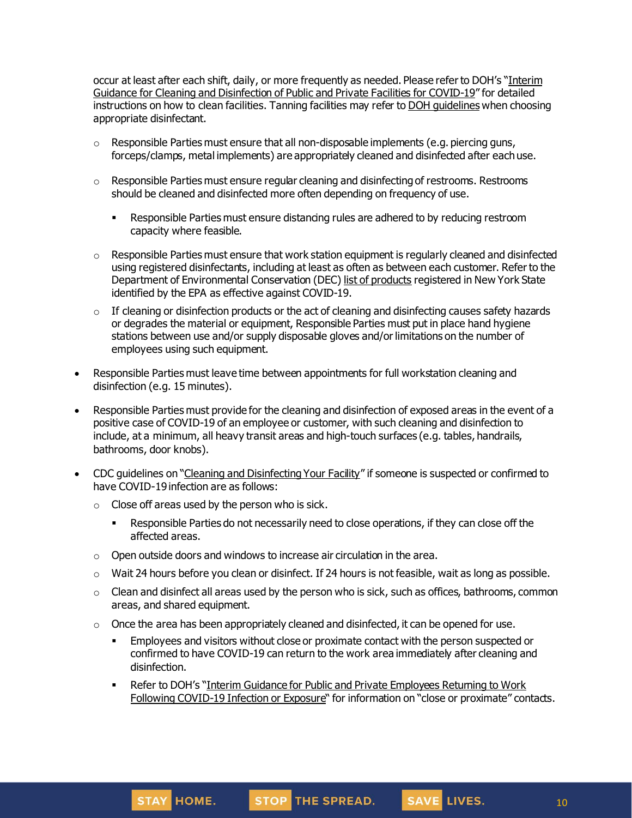occur at least after each shift, daily, or more frequently as needed. Please refer to DOH's "[Interim](https://coronavirus.health.ny.gov/system/files/documents/2020/03/cleaning_guidance_general_building.pdf) Guidance for Cleaning and [Disinfection](https://coronavirus.health.ny.gov/system/files/documents/2020/03/cleaning_guidance_general_building.pdf) of Public and Private Facilities for COVID-19" for detailed instructions on how to clean facilities. Tanning facilities may refer to DOH [guidelines](https://health.ny.gov/regulations/nycrr/title_10/part_72/subpart_72-1.htm) when choosing appropriate disinfectant.

- $\circ$  Responsible Parties must ensure that all non-disposable implements (e.g. piercing guns, forceps/clamps, metal implements) are appropriately cleaned and disinfected after each use.
- $\circ$  Responsible Parties must ensure regular cleaning and disinfecting of restrooms. Restrooms should be cleaned and disinfected more often depending on frequency of use.
	- **EXECT** Responsible Parties must ensure distancing rules are adhered to by reducing restroom capacity where feasible.
- o Responsible Parties must ensure that work station equipment is regularly cleaned and disinfected using registered disinfectants, including at least as often as between each customer. Refer to the Department of Environmental Conservation (DEC) list of [products](http://www.dec.ny.gov/docs/materials_minerals_pdf/covid19.pdf) registered in New York State identified by the EPA as effective against COVID-19.
- $\circ$  If cleaning or disinfection products or the act of cleaning and disinfecting causes safety hazards or degrades the material or equipment, Responsible Parties must put in place hand hygiene stations between use and/or supply disposable gloves and/or limitations on the number of employees using such equipment.
- Responsible Parties must leave time between appointments for full workstation cleaning and disinfection (e.g. 15 minutes).
- Responsible Parties must provide for the cleaning and disinfection of exposed areas in the event of a positive case of COVID-19 of an employee or customer, with such cleaning and disinfection to include, at a minimum, all heavy transit areas and high-touch surfaces (e.g. tables, handrails, bathrooms, door knobs).
- CDC guidelines on "Cleaning and [Disinfecting](https://www.cdc.gov/coronavirus/2019-ncov/community/disinfecting-building-facility.html) Your Facility" if someone is suspected or confirmed to have COVID-19 infection are as follows:
	- $\circ$  Close off areas used by the person who is sick.
		- Responsible Parties do not necessarily need to close operations, if they can close off the affected areas.
	- $\circ$  Open outside doors and windows to increase air circulation in the area.
	- $\circ$  Wait 24 hours before you clean or disinfect. If 24 hours is not feasible, wait as long as possible.
	- $\circ$  Clean and disinfect all areas used by the person who is sick, such as offices, bathrooms, common areas, and shared equipment.
	- $\circ$  Once the area has been appropriately cleaned and disinfected, it can be opened for use.
		- **Employees and visitors without close or proximate contact with the person suspected or** confirmed to have COVID-19 can return to the work area immediately after cleaning and disinfection.
		- Refer to DOH's "Interim Guidance for Public and Private [Employees](https://coronavirus.health.ny.gov/system/files/documents/2020/06/doh_covid19_publicprivateemployeereturntowork_053120.pdf) Returning to Work Following [COVID-19](https://coronavirus.health.ny.gov/system/files/documents/2020/06/doh_covid19_publicprivateemployeereturntowork_053120.pdf) Infection or Exposure" for information on "close or proximate" contacts.

SAVE LIVES.

10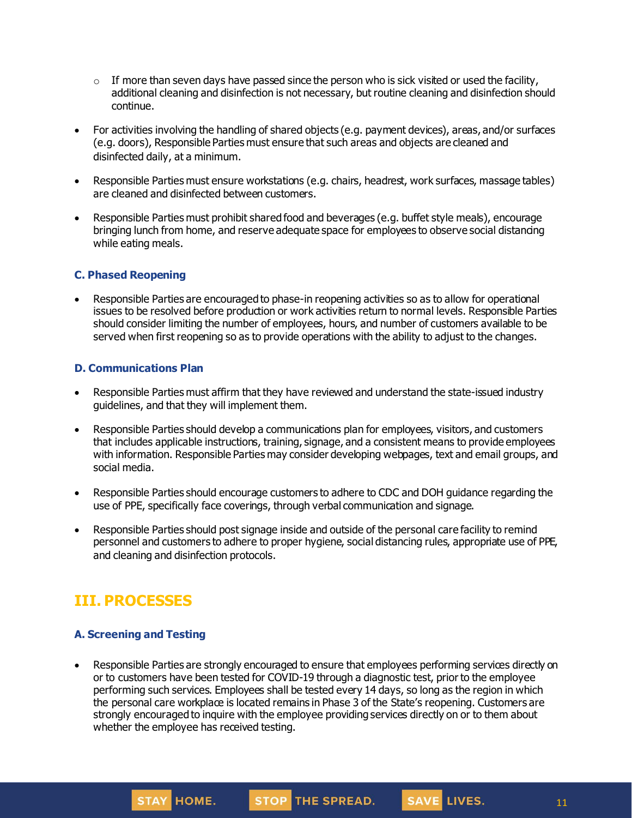- $\circ$  If more than seven days have passed since the person who is sick visited or used the facility, additional cleaning and disinfection is not necessary, but routine cleaning and disinfection should continue.
- For activities involving the handling of shared objects (e.g. payment devices), areas, and/or surfaces (e.g. doors), Responsible Parties must ensure that such areas and objects are cleaned and disinfected daily, at a minimum.
- Responsible Parties must ensure workstations (e.g. chairs, headrest, work surfaces, massage tables) are cleaned and disinfected between customers.
- Responsible Parties must prohibit shared food and beverages (e.g. buffet style meals), encourage bringing lunch from home, and reserve adequate space for employees to observe social distancing while eating meals.

### **C. Phased Reopening**

• Responsible Parties are encouraged to phase-in reopening activities so as to allow for operational issues to be resolved before production or work activities return to normal levels. Responsible Parties should consider limiting the number of employees, hours, and number of customers available to be served when first reopening so as to provide operations with the ability to adjust to the changes.

#### **D. Communications Plan**

- Responsible Parties must affirm that they have reviewed and understand the state-issued industry guidelines, and that they will implement them.
- Responsible Parties should develop a communications plan for employees, visitors, and customers that includes applicable instructions, training, signage, and a consistent means to provide employees with information. Responsible Parties may consider developing webpages, text and email groups, and social media.
- Responsible Parties should encourage customers to adhere to CDC and DOH guidance regarding the use of PPE, specifically face coverings, through verbal communication and signage.
- Responsible Parties should post signage inside and outside of the personal care facility to remind personnel and customers to adhere to proper hygiene, social distancing rules, appropriate use of PPE, and cleaning and disinfection protocols.

## **III. PROCESSES**

### **A. Screening and Testing**

**STAY HOME.** 

Responsible Parties are strongly encouraged to ensure that employees performing services directly on or to customers have been tested for COVID-19 through a diagnostic test, priorto the employee performing such services. Employees shall be tested every 14 days, so long as the region in which the personal care workplace is located remains in Phase 3 of the State's reopening. Customers are strongly encouraged to inquire with the employee providing services directly on or to them about whether the employee has received testing.

STOP THE SPREAD.

SAVE LIVES.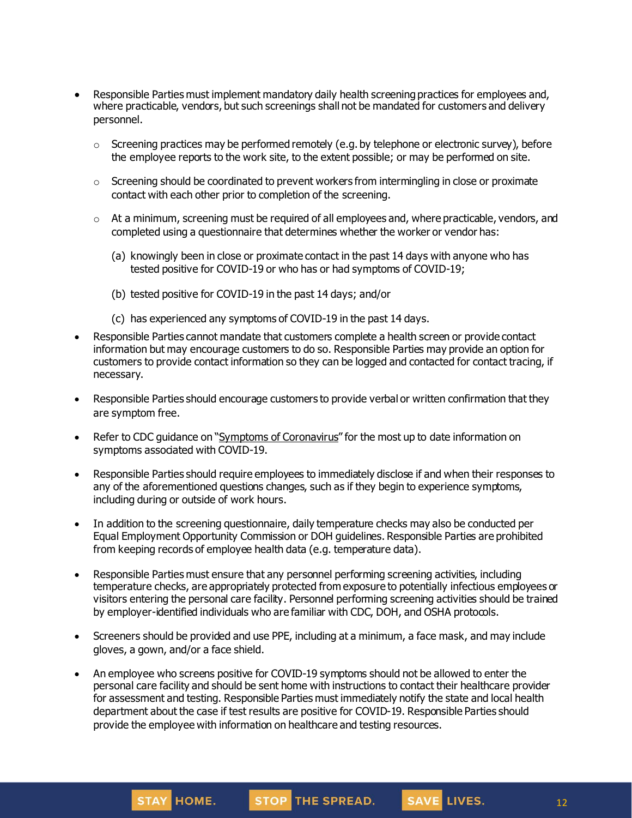- Responsible Parties must implement mandatory daily health screening practices for employees and, where practicable, vendors, but such screenings shall not be mandated for customers and delivery personnel.
	- $\circ$  Screening practices may be performed remotely (e.g. by telephone or electronic survey), before the employee reports to the work site, to the extent possible; or may be performed on site.
	- o Screening should be coordinated to prevent workers from intermingling in close or proximate contact with each other prior to completion of the screening.
	- $\circ$  At a minimum, screening must be required of all employees and, where practicable, vendors, and completed using a questionnaire that determines whether the worker or vendor has:
		- (a) knowingly been in close or proximate contact in the past 14 days with anyone who has tested positive for COVID-19 or who has or had symptoms of COVID-19;
		- (b) tested positive for COVID-19 in the past 14 days; and/or
		- (c) has experienced any symptoms of COVID-19 in the past 14 days.
- Responsible Parties cannot mandate that customers complete a health screen or provide contact information but may encourage customers to do so. Responsible Parties may provide an option for customers to provide contact information so they can be logged and contacted for contact tracing, if necessary.
- Responsible Parties should encourage customers to provide verbal or written confirmation that they are symptom free.
- Refer to CDC guidance on "Symptoms of [Coronavirus](https://www.cdc.gov/coronavirus/2019-ncov/symptoms-testing/symptoms.html)" for the most up to date information on symptoms associated with COVID-19.
- Responsible Parties should require employees to immediately disclose if and when their responses to any of the aforementioned questions changes, such as if they begin to experience symptoms, including during or outside of work hours.
- In addition to the screening questionnaire, daily temperature checks may also be conducted per Equal Employment Opportunity Commission or DOH guidelines. Responsible Parties are prohibited from keeping records of employee health data (e.g. temperature data).
- Responsible Parties must ensure that any personnel performing screening activities, including temperature checks, are appropriately protected from exposure to potentially infectious employees or visitors entering the personal care facility. Personnel performing screening activities should be trained by employer-identified individuals who are familiar with CDC, DOH, and OSHA protocols.
- Screeners should be provided and use PPE, including at a minimum, a face mask, and may include gloves, a gown, and/or a face shield.
- An employee who screens positive for COVID-19 symptoms should not be allowed to enter the personal care facility and should be sent home with instructions to contact their healthcare provider for assessment and testing. Responsible Parties must immediately notify the state and local health department about the case if test results are positive for COVID-19. Responsible Parties should provide the employee with information on healthcare and testing resources.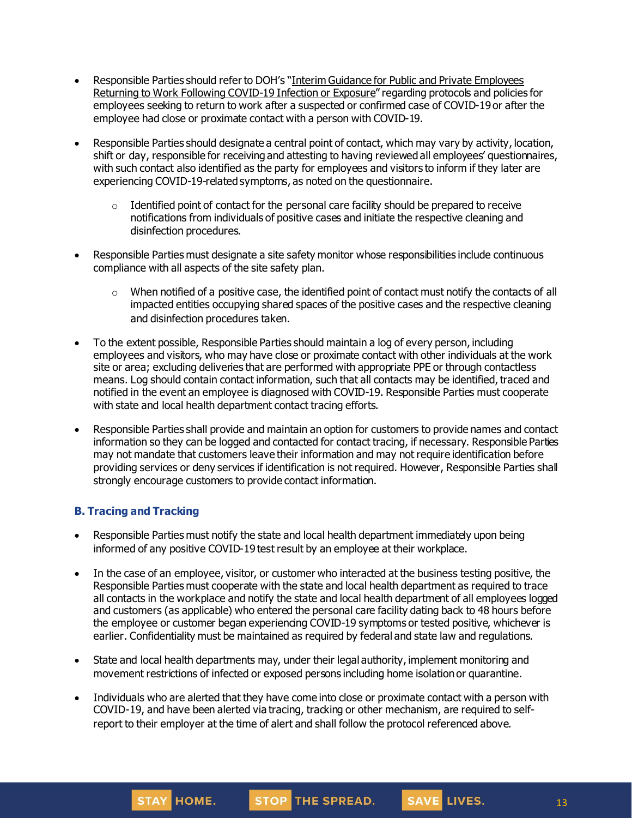- Responsible Parties should refer to DOH's "Interim Guidance for Public and Private [Employees](https://coronavirus.health.ny.gov/system/files/documents/2020/06/doh_covid19_publicprivateemployeereturntowork_053120.pdf) Returning to Work Following [COVID-19](https://coronavirus.health.ny.gov/system/files/documents/2020/06/doh_covid19_publicprivateemployeereturntowork_053120.pdf) Infection or Exposure" regarding protocols and policies for employees seeking to return to work after a suspected or confirmed case of COVID-19 or after the employee had close or proximate contact with a person with COVID-19.
- Responsible Parties should designate a central point of contact, which may vary by activity, location, shift or day, responsible for receiving and attesting to having reviewed all employees' questionnaires, with such contact also identified as the party for employees and visitors to inform if they later are experiencing COVID-19-related symptoms, as noted on the questionnaire.
	- $\circ$  Identified point of contact for the personal care facility should be prepared to receive notifications from individuals of positive cases and initiate the respective cleaning and disinfection procedures.
- Responsible Parties must designate a site safety monitor whose responsibilities include continuous compliance with all aspects of the site safety plan.
	- o When notified of a positive case, the identified point of contact must notify the contacts of all impacted entities occupying shared spaces of the positive cases and the respective cleaning and disinfection procedures taken.
- To the extent possible, Responsible Parties should maintain a log of every person, including employees and visitors, who may have close or proximate contact with other individuals at the work site or area; excluding deliveries that are performed with appropriate PPE or through contactless means. Log should contain contact information, such that all contacts may be identified, traced and notified in the event an employee is diagnosed with COVID-19. Responsible Parties must cooperate with state and local health department contact tracing efforts.
- Responsible Parties shall provide and maintain an option for customers to provide names and contact information so they can be logged and contacted for contact tracing, if necessary. Responsible Parties may not mandate that customers leave their information and may not require identification before providing services or deny services if identification is not required. However, Responsible Parties shall strongly encourage customers to provide contact information.

### **B. Tracing and Tracking**

- Responsible Parties must notify the state and local health department immediately upon being informed of any positive COVID-19 test result by an employee at their workplace.
- In the case of an employee, visitor, or customer who interacted at the business testing positive, the Responsible Parties must cooperate with the state and local health department as required to trace all contacts in the workplace and notify the state and local health department of all employees logged and customers (as applicable) who entered the personal care facility dating back to 48 hours before the employee or customer began experiencing COVID-19 symptoms or tested positive, whichever is earlier. Confidentiality must be maintained as required by federal and state law and regulations.
- State and local health departments may, under their legal authority, implement monitoring and movement restrictions of infected or exposed persons including home isolationor quarantine.
- Individuals who are alerted that they have come into close or proximate contact with a person with COVID-19, and have been alerted via tracing, tracking or other mechanism, are required to selfreport to their employer at the time of alert and shall follow the protocol referenced above.